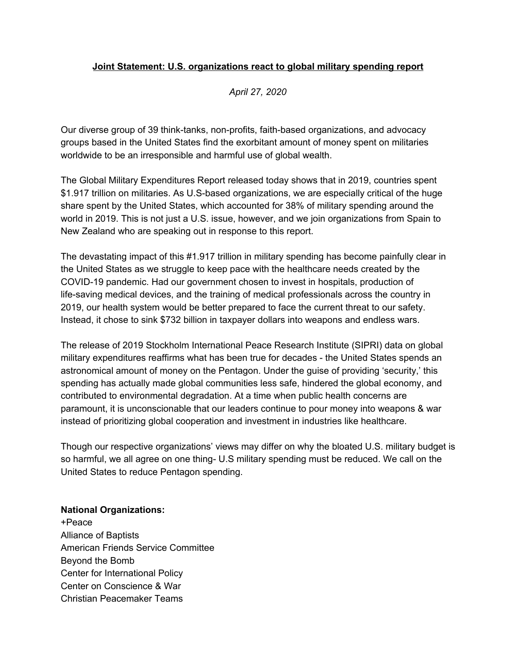## **Joint Statement: U.S. organizations react to global military spending report**

*April 27, 2020*

Our diverse group of 39 think-tanks, non-profits, faith-based organizations, and advocacy groups based in the United States find the exorbitant amount of money spent on militaries worldwide to be an irresponsible and harmful use of global wealth.

The Global Military Expenditures Report released today shows that in 2019, countries spent \$1.917 trillion on militaries. As U.S-based organizations, we are especially critical of the huge share spent by the United States, which accounted for 38% of military spending around the world in 2019. This is not just a U.S. issue, however, and we join organizations from Spain to New Zealand who are speaking out in response to this report.

The devastating impact of this #1.917 trillion in military spending has become painfully clear in the United States as we struggle to keep pace with the healthcare needs created by the COVID-19 pandemic. Had our government chosen to invest in hospitals, production of life-saving medical devices, and the training of medical professionals across the country in 2019, our health system would be better prepared to face the current threat to our safety. Instead, it chose to sink \$732 billion in taxpayer dollars into weapons and endless wars.

The release of 2019 Stockholm International Peace Research Institute (SIPRI) data on global military expenditures reaffirms what has been true for decades - the United States spends an astronomical amount of money on the Pentagon. Under the guise of providing 'security,' this spending has actually made global communities less safe, hindered the global economy, and contributed to environmental degradation. At a time when public health concerns are paramount, it is unconscionable that our leaders continue to pour money into weapons & war instead of prioritizing global cooperation and investment in industries like healthcare.

Though our respective organizations' views may differ on why the bloated U.S. military budget is so harmful, we all agree on one thing- U.S military spending must be reduced. We call on the United States to reduce Pentagon spending.

## **National Organizations:**

+Peace Alliance of Baptists American Friends Service Committee Beyond the Bomb Center for International Policy Center on Conscience & War Christian Peacemaker Teams